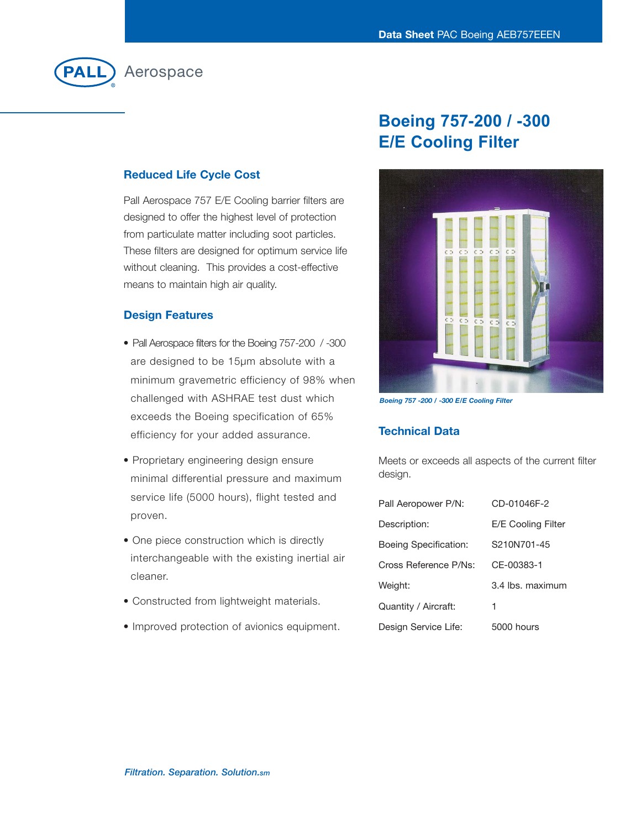

### **Reduced Life Cycle Cost**

Pall Aerospace 757 E/E Cooling barrier filters are designed to offer the highest level of protection from particulate matter including soot particles. These filters are designed for optimum service life without cleaning. This provides a cost-effective means to maintain high air quality.

#### **Design Features**

- Pall Aerospace filters for the Boeing 757-200 / -300 are designed to be 15µm absolute with a minimum gravemetric efficiency of 98% when challenged with ASHRAE test dust which exceeds the Boeing specification of 65% efficiency for your added assurance.
- Proprietary engineering design ensure minimal differential pressure and maximum service life (5000 hours), flight tested and proven.
- One piece construction which is directly interchangeable with the existing inertial air cleaner.
- Constructed from lightweight materials.
- Improved protection of avionics equipment.

# **Boeing Present Professor E/E Cooling Filter**



*Boeing 757 -200 / -300 E/E Cooling Filter*

## **Technical Data**

Meets or exceeds all aspects of the current filter design.

| Pall Aeropower P/N:   | CD-01046F-2        |
|-----------------------|--------------------|
| Description:          | E/E Cooling Filter |
| Boeing Specification: | S210N701-45        |
| Cross Reference P/Ns: | CE-00383-1         |
| Weight:               | 3.4 lbs. maximum   |
| Quantity / Aircraft:  | 1                  |
| Design Service Life:  | 5000 hours         |